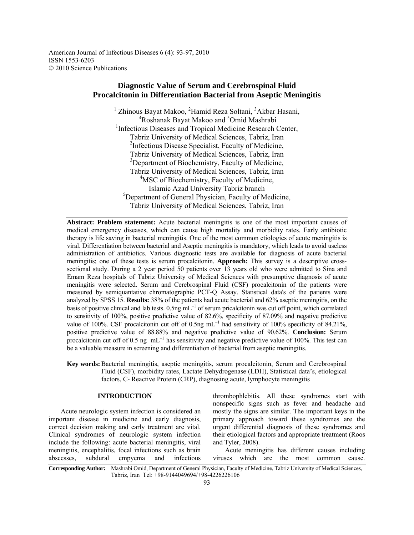American Journal of Infectious Diseases 6 (4): 93-97, 2010 ISSN 1553-6203 © 2010 Science Publications

# **Diagnostic Value of Serum and Cerebrospinal Fluid Procalcitonin in Differentiation Bacterial from Aseptic Meningitis**

<sup>1</sup> Zhinous Bayat Makoo, <sup>2</sup>Hamid Reza Soltani, <sup>3</sup>Akbar Hasani, <sup>4</sup>Roshanak Bayat Makoo and <sup>5</sup>Omid Mashrabi <sup>1</sup>Infectious Diseases and Tropical Medicine Research Center, Tabriz University of Medical Sciences, Tabriz, Iran <sup>2</sup>Infectious Disease Specialist, Faculty of Medicine, Tabriz University of Medical Sciences, Tabriz, Iran <sup>3</sup>Department of Biochemistry, Faculty of Medicine, Tabriz University of Medical Sciences, Tabriz, Iran <sup>4</sup>MSC of Biochemistry, Faculty of Medicine, Islamic Azad University Tabriz branch 5 Department of General Physician, Faculty of Medicine, Tabriz University of Medical Sciences, Tabriz, Iran

**Abstract: Problem statement:** Acute bacterial meningitis is one of the most important causes of medical emergency diseases, which can cause high mortality and morbidity rates. Early antibiotic therapy is life saving in bacterial meningitis. One of the most common etiologies of acute meningitis is viral. Differentiation between bacterial and Aseptic meningitis is mandatory, which leads to avoid useless administration of antibiotics. Various diagnostic tests are available for diagnosis of acute bacterial meningitis; one of these tests is serum procalcitonin. **Approach:** This survey is a descriptive crosssectional study. During a 2 year period 50 patients over 13 years old who were admitted to Sina and Emam Reza hospitals of Tabriz University of Medical Sciences with presumptive diagnosis of acute meningitis were selected. Serum and Cerebrospinal Fluid (CSF) procalcitonin of the patients were measured by semiquantative chromatographic PCT-Q Assay. Statistical data's of the patients were analyzed by SPSS 15. **Results:** 38% of the patients had acute bacterial and 62% aseptic meningitis, on the basis of positive clinical and lab tests. 0.5ng mL<sup>-1</sup> of serum pricalcitonin was cut off point, which correlated to sensitivity of 100%, positive predictive value of 82.6%, specificity of 87.09% and negative predictive value of 100%. CSF procalcitonin cut off of 0.5ng mL<sup>-1</sup> had sensitivity of 100% specificity of 84.21%, positive predictive value of 88.88% and negative predictive value of 90.62%. **Conclusion:** Serum procalcitonin cut off of 0.5 ng  $mL^{-1}$  has sensitivity and negative predictive value of 100%. This test can be a valuable measure in screening and differentiation of bacterial from aseptic meningitis.

**Key words:** Bacterial meningitis, aseptic meningitis, serum procalcitonin, Serum and Cerebrospinal Fluid (CSF), morbidity rates, Lactate Dehydrogenase (LDH), Statistical data's, etiological factors, C- Reactive Protein (CRP), diagnosing acute, lymphocyte meningitis

## **INTRODUCTION**

 Acute neurologic system infection is considered an important disease in medicine and early diagnosis, correct decision making and early treatment are vital. Clinical syndromes of neurologic system infection include the following: acute bacterial meningitis, viral meningitis, encephalitis, focal infections such as brain abscesses, subdural empyema and infectious

thrombophlebitis. All these syndromes start with nonspecific signs such as fever and headache and mostly the signs are similar. The important keys in the primary approach toward these syndromes are the urgent differential diagnosis of these syndromes and their etiological factors and appropriate treatment (Roos and Tyler, 2008).

 Acute meningitis has different causes including viruses which are the most common cause.

**Corresponding Author:** Mashrabi Omid, Department of General Physician, Faculty of Medicine, Tabriz University of Medical Sciences, Tabriz, Iran Tel: +98-9144049694/+98-4226226106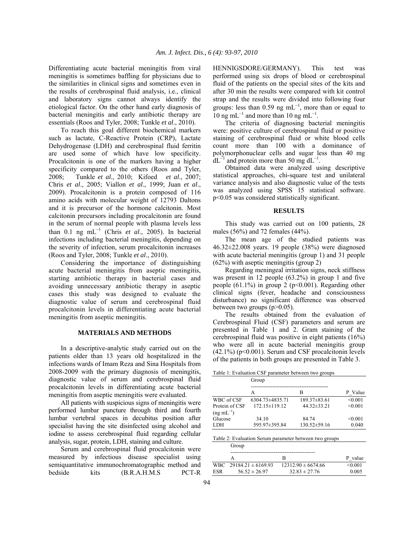Differentiating acute bacterial meningitis from viral meningitis is sometimes baffling for physicians due to the similarities in clinical signs and sometimes even in the results of cerebrospinal fluid analysis, i.e., clinical and laboratory signs cannot always identify the etiological factor. On the other hand early diagnosis of bacterial meningitis and early antibiotic therapy are essentials (Roos and Tyler, 2008; Tunkle *et al*., 2010).

 To reach this goal different biochemical markers such as lactate, C-Reactive Protein (CRP), Lactate Dehydrogenase (LDH) and cerebrospinal fluid ferritin are used some of which have low specificity. Procalcitonin is one of the markers having a higher specificity compared to the others (Roos and Tyler, 2008; Tunkle *et al*., 2010; Kifoed *et al*., 2007; Chris *et al*., 2005; Viallon *et al*., 1999; Juan *et al*., 2009). Procalcitonin is a protein composed of 116 amino acids with molecular weight of 12793 Daltons and it is precursor of the hormone calcitonin. Most calcitonin precursors including procalcitonin are found in the serum of normal people with plasma levels less than 0.1 ng mL<sup>−</sup><sup>1</sup> (Chris *et al*., 2005). In bacterial infections including bacterial meningitis, depending on the severity of infection, serum procalcitonin increases (Roos and Tyler, 2008; Tunkle *et al*., 2010).

 Considering the importance of distinguishing acute bacterial meningitis from aseptic meningitis, starting antibiotic therapy in bacterial cases and avoiding unnecessary antibiotic therapy in aseptic cases this study was designed to evaluate the diagnostic value of serum and cerebrospinal fluid procalcitonin levels in differentiating acute bacterial meningitis from aseptic meningitis.

### **MATERIALS AND METHODS**

 In a descriptive-analytic study carried out on the patients older than 13 years old hospitalized in the infections wards of Imam Reza and Sina Hospitals from 2008-2009 with the primary diagnosis of meningitis, diagnostic value of serum and cerebrospinal fluid procalcitonin levels in differentiating acute bacterial meningitis from aseptic meningitis were evaluated.

 All patients with suspicious signs of meningitis were performed lumbar puncture through third and fourth lumbar vertebral spaces in decubitus position after specialist having the site disinfected using alcohol and iodine to assess cerebrospinal fluid regarding cellular analysis, sugar, protein, LDH, staining and culture.

 Serum and cerebrospinal fluid procalcitonin were measured by infectious disease specialist using semiquantitative immunochromatographic method and bedside kits (B.R.A.H.M.S PCT-R

HENNIGSDORE/GERMANY). This test was performed using six drops of blood or cerebrospinal fluid of the patients on the special sites of the kits and after 30 min the results were compared with kit control strap and the results were divided into following four groups: less than 0.59 ng  $mL^{-1}$ , more than or equal to 10 ng mL<sup>-1</sup> and more than 10 ng mL<sup>-1</sup>.

 The criteria of diagnosing bacterial meningitis were: positive culture of cerebrospinal fluid or positive staining of cerebrospinal fluid or white blood cells count more than 100 with a dominance of polymorphonuclear cells and sugar less than 40 mg  $dL^{-1}$  and protein more than 50 mg  $dL^{-1}$ .

 Obtained data were analyzed using descriptive statistical approaches, chi-square test and unilateral variance analysis and also diagnostic value of the tests was analyzed using SPSS 15 statistical software. p<0.05 was considered statistically significant.

#### **RESULTS**

 This study was carried out on 100 patients, 28 males (56%) and 72 females (44%).

 The mean age of the studied patients was 46.32±22.008 years. 19 people (38%) were diagnosed with acute bacterial meningitis (group 1) and 31 people (62%) with aseptic meningitis (group 2)

 Regarding meningeal irritation signs, neck stiffness was present in 12 people (63.2%) in group 1 and five people  $(61.1\%)$  in group 2 (p<0.001). Regarding other clinical signs (fever, headache and consciousness disturbance) no significant difference was observed between two groups (p>0.05).

 The results obtained from the evaluation of Cerebrospinal Fluid (CSF) parameters and serum are presented in Table 1 and 2. Gram staining of the cerebrospinal fluid was positive in eight patients (16%) who were all in acute bacterial meningitis group  $(42.1\%)$  (p<0.001). Serum and CSF procalcitonin levels of the patients in both groups are presented in Table 3.

Table 1: Evaluation CSF parameter between two groups

|                                          | Group                  |                       |                  |  |  |
|------------------------------------------|------------------------|-----------------------|------------------|--|--|
|                                          | А                      | В                     | P Value          |  |  |
| WBC of CSF                               | $6304.73\pm4835.71$    | $189.37\pm83.61$      | < 0.001          |  |  |
| Protein of CSF<br>$(ng \text{ mL}^{-1})$ | $172.15 \pm 119.12$    | $44.32\pm33.21$       | < 0.001          |  |  |
| Glucose<br><b>LDH</b>                    | 34.10<br>595.97±395.84 | 84.74<br>130.52±59.16 | < 0.001<br>0.040 |  |  |

Table 2: Evaluation Serum parameter between two groups

|     | Group                      |                        |         |  |
|-----|----------------------------|------------------------|---------|--|
|     |                            | в                      | P value |  |
|     | WBC $29184.21 \pm 6169.93$ | $12312.90 \pm 6674.66$ | < 0.001 |  |
| ESR | $56.52 \pm 26.97$          | $32.83 \pm 27.76$      | 0.005   |  |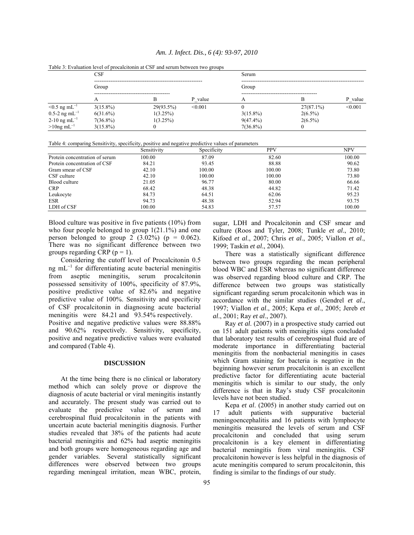|                                | CSF         |             |         | Serum       |              |         |  |
|--------------------------------|-------------|-------------|---------|-------------|--------------|---------|--|
|                                | Group       |             |         | Group       |              |         |  |
|                                |             |             |         |             |              |         |  |
|                                | А           | B           | P value |             |              | P value |  |
| $\leq 0.5$ ng mL <sup>-1</sup> | $3(15.8\%)$ | 29(93.5%)   | < 0.001 |             | $27(87.1\%)$ | < 0.001 |  |
| $0.5-2$ ng mL <sup>-1</sup>    | $6(31.6\%)$ | 1(3.25%)    |         | $3(15.8\%)$ | $2(6.5\%)$   |         |  |
| 2-10 ng mL $^{-1}$             | $7(36.8\%)$ | $1(3.25\%)$ |         | $9(47.4\%)$ | $2(6.5\%)$   |         |  |
| $>10$ ng mL <sup>-1</sup>      | $3(15.8\%)$ | v           |         | $7(36.8\%)$ |              |         |  |

Table 3: Evaluation level of procalcitonin at CSF and serum between two groups

Table 4: comparing Sensitivity, specificity, positive and negative predictive values of parameters

|                                | Sensitivity | Specificity | <b>PPV</b> | <b>NPV</b> |
|--------------------------------|-------------|-------------|------------|------------|
| Protein concentration of serum | 100.00      | 87.09       | 82.60      | 100.00     |
| Protein concentration of CSF   | 84.21       | 93.45       | 88.88      | 90.62      |
| Gram smear of CSF              | 42.10       | 100.00      | 100.00     | 73.80      |
| CSF culture                    | 42.10       | 100.00      | 100.00     | 73.80      |
| Blood culture                  | 21.05       | 96.77       | 80.00      | 66.66      |
| <b>CRP</b>                     | 68.42       | 48.38       | 44.82      | 71.42      |
| Leukocyte                      | 84.73       | 64.51       | 62.06      | 95.23      |
| <b>ESR</b>                     | 94.73       | 48.38       | 52.94      | 93.75      |
| LDH of CSF                     | 100.00      | 54.83       | 57.57      | 100.00     |

Blood culture was positive in five patients (10%) from who four people belonged to group  $1(21.1\%)$  and one person belonged to group 2  $(3.02\%)$  (p = 0.062). There was no significant difference between two groups regarding CRP ( $p = 1$ ).

 Considering the cutoff level of Procalcitonin 0.5 ng mL<sup>-1</sup> for differentiating acute bacterial meningitis from aseptic meningitis, serum procalcitonin possessed sensitivity of 100%, specificity of 87.9%, positive predictive value of 82.6% and negative predictive value of 100%. Sensitivity and specificity of CSF procalcitonin in diagnosing acute bacterial meningitis were 84.21 and 93.54% respectively. Positive and negative predictive values were 88.88% and 90.62% respectively. Sensitivity, specificity, positive and negative predictive values were evaluated and compared (Table 4).

#### **DISCUSSION**

 At the time being there is no clinical or laboratory method which can solely prove or disprove the diagnosis of acute bacterial or viral meningitis instantly and accurately. The present study was carried out to evaluate the predictive value of serum and cerebrospinal fluid procalcitonin in the patients with uncertain acute bacterial meningitis diagnosis. Further studies revealed that 38% of the patients had acute bacterial meningitis and 62% had aseptic meningitis and both groups were homogeneous regarding age and gender variables. Several statistically significant differences were observed between two groups regarding meningeal irritation, mean WBC, protein,

sugar, LDH and Procalcitonin and CSF smear and culture (Roos and Tyler, 2008; Tunkle *et al*., 2010; Kifoed *et al*., 2007; Chris *et al*., 2005; Viallon *et al*., 1999; Taskin *et al*., 2004).

 There was a statistically significant difference between two groups regarding the mean peripheral blood WBC and ESR whereas no significant difference was observed regarding blood culture and CRP. The difference between two groups was statistically significant regarding serum procalcitonin which was in accordance with the similar studies (Gendrel *et al*., 1997; Viallon *et al*., 2005; Kepa *et al*., 2005; Jereb *et al*., 2001; Ray *et al*., 2007).

 Ray *et al*. (2007) in a prospective study carried out on 151 adult patients with meningitis signs concluded that laboratory test results of cerebrospinal fluid are of moderate importance in differentiating bacterial meningitis from the nonbacterial meningitis in cases which Gram staining for bacteria is negative in the beginning however serum procalcitonin is an excellent predictive factor for differentiating acute bacterial meningitis which is similar to our study, the only difference is that in Ray's study CSF procalcitonin levels have not been studied.

 Kepa *et al*. (2005) in another study carried out on 17 adult patients with suppurative bacterial meningoencephalitis and 16 patients with lymphocyte meningitis measured the levels of serum and CSF procalcitonin and concluded that using serum procalcitonin is a key element in differentiating bacterial meningitis from viral meningitis. CSF procalcitonin however is less helpful in the diagnosis of acute meningitis compared to serum procalcitonin, this finding is similar to the findings of our study.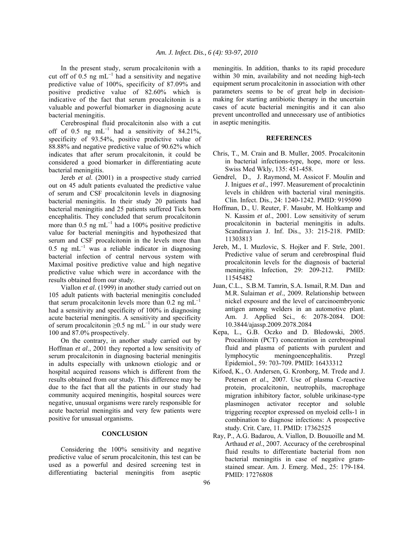In the present study, serum procalcitonin with a cut off of 0.5 ng mL<sup>-1</sup> had a sensitivity and negative predictive value of 100%, specificity of 87.09% and positive predictive value of 82.60% which is indicative of the fact that serum procalcitonin is a valuable and powerful biomarker in diagnosing acute bacterial meningitis.

 Cerebrospinal fluid procalcitonin also with a cut off of 0.5 ng mL<sup>-1</sup> had a sensitivity of 84.21%, specificity of 93.54%, positive predictive value of 88.88% and negative predictive value of 90.62% which indicates that after serum procalcitonin, it could be considered a good biomarker in differentiating acute bacterial meningitis.

 Jereb *et al*. (2001) in a prospective study carried out on 45 adult patients evaluated the predictive value of serum and CSF procalcitonin levels in diagnosing bacterial meningitis. In their study 20 patients had bacterial meningitis and 25 patients suffered Tick born encephalitis. They concluded that serum procalcitonin more than 0.5 ng mL<sup>-1</sup> had a 100% positive predictive value for bacterial meningitis and hypothesized that serum and CSF procalcitonin in the levels more than 0.5 ng mL<sup>-1</sup> was a reliable indicator in diagnosing bacterial infection of central nervous system with Maximal positive predictive value and high negative predictive value which were in accordance with the results obtained from our study.

 Viallon *et al*. (1999) in another study carried out on 105 adult patients with bacterial meningitis concluded that serum procalcitonin levels more than 0.2 ng mL<sup>-1</sup> had a sensitivity and specificity of 100% in diagnosing acute bacterial meningitis. A sensitivity and specificity of serum procalcitonin ≥0.5 ng mL<sup>-1</sup> in our study were 100 and 87.0% prospectively.

 On the contrary, in another study carried out by Hoffman *et al*., 2001 they reported a low sensitivity of serum procalcitonin in diagnosing bacterial meningitis in adults especially with unknown etiologic and or hospital acquired reasons which is different from the results obtained from our study. This difference may be due to the fact that all the patients in our study had community acquired meningitis, hospital sources were negative, unusual organisms were rarely responsible for acute bacterial meningitis and very few patients were positive for unusual organisms.

## **CONCLUSION**

 Considering the 100% sensitivity and negative predictive value of serum procalcitonin, this test can be used as a powerful and desired screening test in differentiating bacterial meningitis from aseptic meningitis. In addition, thanks to its rapid procedure within 30 min, availability and not needing high-tech equipment serum procalcitonin in association with other parameters seems to be of great help in decisionmaking for starting antibiotic therapy in the uncertain cases of acute bacterial meningitis and it can also prevent uncontrolled and unnecessary use of antibiotics in aseptic meningitis.

### **REFERENCES**

- Chris, T., M. Crain and B. Muller, 2005. Procalcitonin in bacterial infections-type, hope, more or less. Swiss Med Wkly, 135: 451-458.
- Gendrel, D., J. Raymond, M. Assicot F. Moulin and J. Inigues *et al*., 1997. Measurement of procalctinin levels in children with bacterial viral meningitis. Clin. Infect. Dis., 24: 1240-1242. PMID: 9195090
- Hoffman, D., U. Reuter, F. Masubr, M. Holtkamp and N. Kassim *et al*., 2001. Low sensitivity of serum procalcitonin in bacterial meningitis in adults. Scandinavian J. Inf. Dis., 33: 215-218. PMID: 11303813
- Jereb, M., I. Muzlovic, S. Hojker and F. Strle, 2001. Predictive value of serum and cerebrospinal fluid procalcitonin levels for the diagnosis of bacterial meningitis. Infection, 29: 209-212. PMID: 11545482
- Juan, C.L., S.B.M. Tamrin, S.A. Ismail, R.M. Dan and M.R. Sulaiman *et al*., 2009. Relationship between nickel exposure and the level of carcinoembryonic antigen among welders in an automotive plant. Am. J. Applied Sci., 6: 2078-2084. DOI: 10.3844/ajassp.2009.2078.2084
- Kepa, L., G.B. Oczko and D. Bledowski, 2005. Procalitonin (PCT) concentration in cerebrospinal fluid and plasma of patients with purulent and lymphocytic meningoencephalitis. Przegl Epidemiol., 59: 703-709. PMID: 16433312
- Kifoed, K., O. Andersen, G. Kronborg, M. Trede and J. Petersen *et al*., 2007. Use of plasma C-reactive protein, procalcitonin, neutrophils, macrophage migration inhibitory factor, soluble urikinase-type plasminogen activator receptor and soluble triggering receptor expressed on myeloid cells-1 in combination to diagnose infections: A prospective study. Crit. Care, 11. PMID: 17362525
- Ray, P., A.G. Badarou, A. Viallon, D. Bouuoille and M. Arthaud *et al*., 2007. Accuracy of the cerebrospinal fluid results to differentiate bacterial from non bacterial meningitis in case of negative gramstained smear. Am. J. Emerg. Med., 25: 179-184. PMID: 17276808